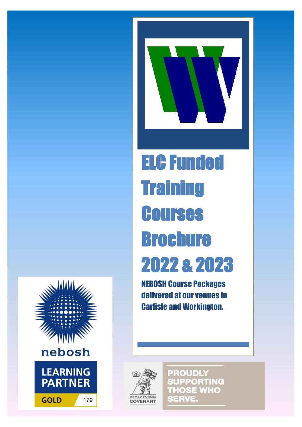



# ELC Funded **Training Courses** Brochure 2022 & 2023

NEBOSH Course Packages delivered at our venues in Carlisle and Workington.



**PROUDLY SUPPORTING THOSE WHO SERVE.**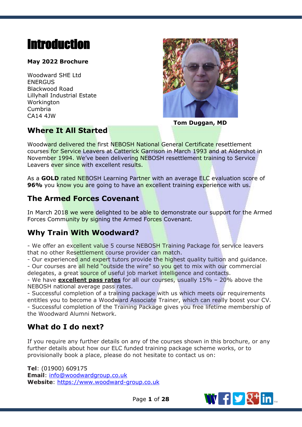# <span id="page-1-0"></span>**Introduction**

## **May 2022 Brochure**

Woodward SHE Ltd ENERGUS Blackwood Road Lillyhall Industrial Estate **Workington** Cumbria CA14 4JW



**Tom Duggan, MD**

## **Where It All Started**

Woodward delivered the first NEBOSH National General Certificate resettlement courses for Service Leavers at Catterick Garrison in March 1993 and at Aldershot in November 1994. We've been delivering NEBOSH resettlement training to Service Leavers ever since with excellent results.

As a **GOLD** rated NEBOSH Learning Partner with an average ELC evaluation score of **96%** you know you are going to have an excellent training experience with us.

# **The Armed Forces Covenant**

In March 2018 we were delighted to be able to demonstrate our support for the Armed Forces Community by signing the Armed Forces Covenant.

## **Why Train With Woodward?**

- We offer an excellent value 5 course NEBOSH Training Package for service leavers that no other Resettlement course provider can match.

- Our experienced and expert tutors provide the highest quality tuition and quidance. - Our courses are all held "outside the wire" so you get to mix with our commercial delegates, a great source of useful job market intelligence and contacts.

- We have **excellent pass rates** for all our courses, usually 15% – 20% above the NEBOSH national average pass rates.

- Successful completion of a training package with us which meets our requirements entitles you to become a Woodward Associate Trainer, which can really boost your CV. - Successful completion of the Training Package gives you free lifetime membership of the Woodward Alumni Network.

# **What do I do next?**

If you require any further details on any of the courses shown in this brochure, or any further details about how our ELC funded training package scheme works, or to provisionally book a place, please do not hesitate to contact us on:

**Tel**: (01900) 609175 **Email**: [info@woodwardgroup.co.uk](mailto:info@woodwardgroup.co.uk) **Website**: [https://www.woodward-group.co.uk](https://www.woodward-group.co.uk/)



Page **1** of **28**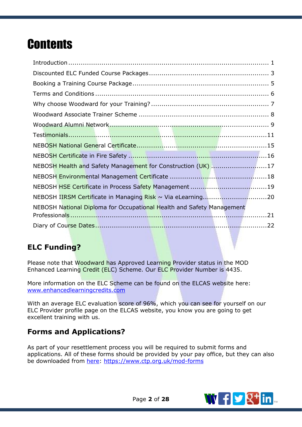# **Contents**

| NEBOSH Health and Safety Management for Construction (UK) 17          |  |
|-----------------------------------------------------------------------|--|
|                                                                       |  |
|                                                                       |  |
|                                                                       |  |
| NEBOSH National Diploma for Occupational Health and Safety Management |  |
|                                                                       |  |
|                                                                       |  |

# **ELC Funding?**

Please note that Woodward has Approved Learning Provider status in the MOD Enhanced Learning Credit (ELC) Scheme. Our ELC Provider Number is 4435.

More information on the ELC Scheme can be found on the ELCAS website here: [www.enhancedlearningcredits.com](http://www.enhancedlearningcredits.com/)

With an average ELC evaluation score of 96%, which you can see for yourself on our ELC Provider profile page on the ELCAS website, you know you are going to get excellent training with us.

## **Forms and Applications?**

As part of your resettlement process you will be required to submit forms and applications. All of these forms should be provided by your pay office, but they can also be downloaded from [here: https://www.ctp.org.uk/mod-forms](https://www.ctp.org.uk/mod-forms)

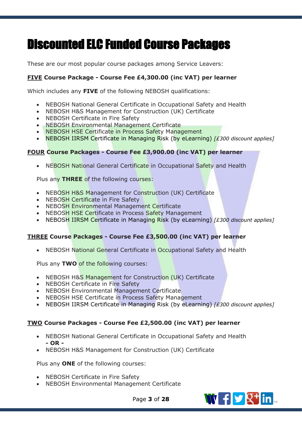# <span id="page-3-0"></span>Discounted ELC Funded Course Packages

These are our most popular course packages among Service Leavers:

## **FIVE Course Package - Course Fee £4,300.00 (inc VAT) per learner**

Which includes any **FIVE** of the following NEBOSH qualifications:

- NEBOSH National General Certificate in Occupational Safety and Health
- NEBOSH H&S Management for Construction (UK) Certificate
- NEBOSH Certificate in Fire Safety
- NEBOSH Environmental Management Certificate
- NEBOSH HSE Certificate in Process Safety Management
- NEBOSH IIRSM Certificate in Managing Risk (by eLearning) *[£300 discount applies]*

### **FOUR Course Packages - Course Fee £3,900.00 (inc VAT) per learner**

• NEBOSH National General Certificate in Occupational Safety and Health

Plus any **THREE** of the following courses:

- NEBOSH H&S Management for Construction (UK) Certificate
- NEBOSH Certificate in Fire Safety
- NEBOSH Environmental Management Certificate
- NEBOSH HSE Certificate in Process Safety Management
- NEBOSH IIRSM Certificate in Managing Risk (by eLearning) *[£300 discount applies]*

### **THREE Course Packages - Course Fee £3,500.00 (inc VAT) per learner**

• NEBOSH National General Certificate in Occupational Safety and Health

Plus any **TWO** of the following courses:

- NEBOSH H&S Management for Construction (UK) Certificate
- NEBOSH Certificate in Fire Safety
- NEBOSH Environmental Management Certificate
- NEBOSH HSE Certificate in Process Safety Management
- NEBOSH IIRSM Certificate in Managing Risk (by eLearning) *[£300 discount applies]*

### **TWO Course Packages - Course Fee £2,500.00 (inc VAT) per learner**

- NEBOSH National General Certificate in Occupational Safety and Health **- OR -**
- NEBOSH H&S Management for Construction (UK) Certificate

Plus any **ONE** of the following courses:

- NEBOSH Certificate in Fire Safety
- NEBOSH Environmental Management Certificate



Page **3** of **28**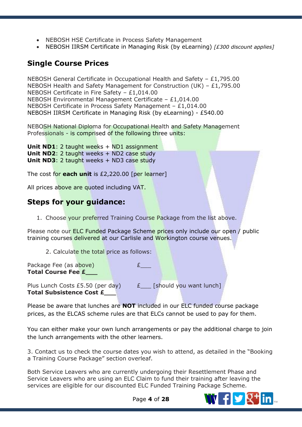- NEBOSH HSE Certificate in Process Safety Management
- NEBOSH IIRSM Certificate in Managing Risk (by eLearning) *[£300 discount applies]*

## **Single Course Prices**

NEBOSH General Certificate in Occupational Health and Safety – £1,795.00 NEBOSH Health and Safety Management for Construction (UK) – £1,795.00 NEBOSH Certificate in Fire Safety – £1,014.00 NEBOSH Environmental Management Certificate – £1,014.00 NEBOSH Certificate in Process Safety Management – £1,014.00 NEBOSH IIRSM Certificate in Managing Risk (by eLearning) - £540.00

NEBOSH National Diploma for Occupational Health and Safety Management Professionals - is comprised of the following three units:

**Unit ND1:** 2 taught weeks + ND1 assignment **Unit ND2:** 2 taught weeks + ND2 case study **Unit ND3: 2 taught weeks + ND3 case study** 

The cost for **each unit** is £2,220.00 [per learner]

All prices above are quoted including VAT.

## **Steps for your guidance:**

1. Choose your preferred Training Course Package from the list above.

Please note our ELC Funded Package Scheme prices only include our open / public training courses delivered at our Carlisle and Workington course venues.

2. Calculate the total price as follows:

Package Fee (as above) E **Total Course Fee £\_\_\_**

Plus Lunch Costs £5.50 (per day)  $E$  [should you want lunch] **Total Subsistence Cost £\_\_\_**

Please be aware that lunches are **NOT** included in our ELC funded course package prices, as the ELCAS scheme rules are that ELCs cannot be used to pay for them.

You can either make your own lunch arrangements or pay the additional charge to join the lunch arrangements with the other learners.

3. Contact us to check the course dates you wish to attend, as detailed in the "Booking a Training Course Package" section overleaf.

Both Service Leavers who are currently undergoing their Resettlement Phase and Service Leavers who are using an ELC Claim to fund their training after leaving the services are eligible for our discounted ELC Funded Training Package Scheme.

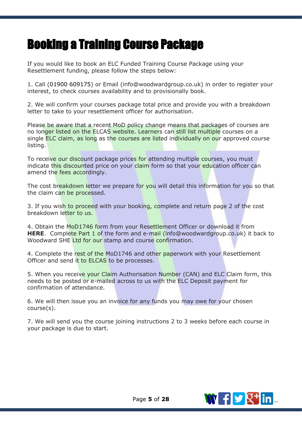# <span id="page-5-0"></span>Booking a Training Course Package

If you would like to book an ELC Funded Training Course Package using your Resettlement funding, please follow the steps below:

1. Call (01900 609175) or Email (info@woodwardgroup.co.uk) in order to register your interest, to check courses availability and to provisionally book.

2. We will confirm your courses package total price and provide you with a breakdown letter to take to your resettlement officer for authorisation.

Please be aware that a recent MoD policy change means that packages of courses are no longer listed on the ELCAS website. Learners can still list multiple courses on a single ELC claim, as long as the courses are listed individually on our approved course listing.

To receive our discount package prices for attending multiple courses, you must indicate this discounted price on your claim form so that your education officer can amend the fees accordingly.

The cost breakdown letter we prepare for you will detail this information for you so that the claim can be processed.

3. If you wish to proceed with your booking, complete and return page 2 of the cost breakdown letter to us.

4. Obtain the MoD1746 form from your Resettlement Officer or download it from **[HERE](https://www.ctp.org.uk/mod-forms)**. Complete Part 1 of the form and e-mail (info@woodwardgroup.co.uk) it back to Woodward SHE Ltd for our stamp and course confirmation.

4. Complete the rest of the MoD1746 and other paperwork with your Resettlement Officer and send it to ELCAS to be processes.

5. When you receive your Claim Authorisation Number (CAN) and ELC Claim form, this needs to be posted or e-mailed across to us with the ELC Deposit payment for confirmation of attendance.

6. We will then issue you an invoice for any funds you may owe for your chosen course(s).

7. We will send you the course joining instructions 2 to 3 weeks before each course in your package is due to start.

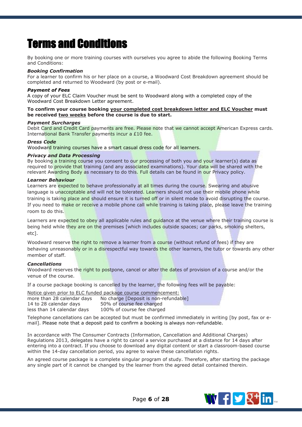# <span id="page-6-0"></span>Terms and Conditions

By booking one or more training courses with ourselves you agree to abide the following Booking Terms and Conditions:

#### *Booking Confirmation*

For a learner to confirm his or her place on a course, a Woodward Cost Breakdown agreement should be completed and returned to Woodward (by post or e-mail).

#### *Payment of Fees*

A copy of your ELC Claim Voucher must be sent to Woodward along with a completed copy of the Woodward Cost Breakdown Letter agreement.

#### **To confirm your course booking your completed cost breakdown letter and ELC Voucher must be received two weeks before the course is due to start.**

#### *Payment Surcharges*

Debit Card and Credit Card payments are free. Please note that we cannot accept American Express cards. International Bank Transfer payments incur a £10 fee.

#### *Dress Code*

Woodward training courses have a smart casual dress code for all learners.

#### *Privacy and Data Processing*

By booking a training course you consent to our processing of both you and your learner(s) data as required to provide that training (and any associated examinations). Your data will be shared with the relevant Awarding Body as necessary to do this. Full details can be found in our Privacy policy.

#### *Learner Behaviour*

Learners are expected to behave professionally at all times during the course. Swearing and abusive language is unacceptable and will not be tolerated. Learners should not use their mobile phone while training is taking place and should ensure it is turned off or in silent mode to avoid disrupting the course. If you need to make or receive a mobile phone call while training is taking place, please leave the training room to do this.

Learners are expected to obey all applicable rules and guidance at the venue where their training course is being held while they are on the premises [which includes outside spaces; car parks, smoking shelters, etc].

Woodward reserve the right to remove a learner from a course (without refund of fees) if they are behaving unreasonably or in a disrespectful way towards the other learners, the tutor or towards any other member of staff.

#### *Cancellations*

Woodward reserves the right to postpone, cancel or alter the dates of provision of a course and/or the venue of the course.

If a course package booking is cancelled by the learner, the following fees will be payable:

Notice given prior to ELC funded package course commencement: more than 28 calendar days No charge [Deposit is non-refundable] 14 to 28 calendar days 50% of course fee charged less than 14 calendar days 100% of course fee charged

Telephone cancellations can be accepted but must be confirmed immediately in writing [by post, fax or email]. Please note that a deposit paid to confirm a booking is always non-refundable.

In accordance with The Consumer Contracts (Information, Cancellation and Additional Charges) Regulations 2013, delegates have a right to cancel a service purchased at a distance for 14 days after entering into a contract. If you choose to download any digital content or start a classroom-based course within the 14-day cancellation period, you agree to waive these cancellation rights.

An agreed course package is a complete singular program of study. Therefore, after starting the package any single part of it cannot be changed by the learner from the agreed detail contained therein.

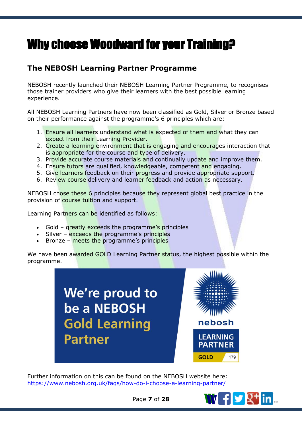# <span id="page-7-0"></span>Why choose Woodward for your Training?

# **The NEBOSH Learning Partner Programme**

NEBOSH recently launched their NEBOSH Learning Partner Programme, to recognises those trainer providers who give their learners with the best possible learning experience.

All NEBOSH Learning Partners have now been classified as Gold, Silver or Bronze based on their performance against the programme's 6 principles which are:

- 1. Ensure all learners understand what is expected of them and what they can expect from their Learning Provider.
- 2. Create a learning environment that is engaging and encourages interaction that is appropriate for the course and type of delivery.
- 3. Provide accurate course materials and continually update and improve them.
- 4. Ensure tutors are qualified, knowledgeable, competent and engaging.
- 5. Give learners feedback on their progress and provide appropriate support.
- 6. Review course delivery and learner feedback and action as necessary.

NEBOSH chose these 6 principles because they represent global best practice in the provision of course tuition and support.

Learning Partners can be identified as follows:

- Gold greatly exceeds the programme's principles
- Silver exceeds the programme's principles
- Bronze meets the programme's principles

We have been awarded GOLD Learning Partner status, the highest possible within the programme.

> We're proud to be a NEBOSH **Gold Learning Partner**



Further information on this can be found on the NEBOSH website here: <https://www.nebosh.org.uk/faqs/how-do-i-choose-a-learning-partner/>



Page **7** of **28**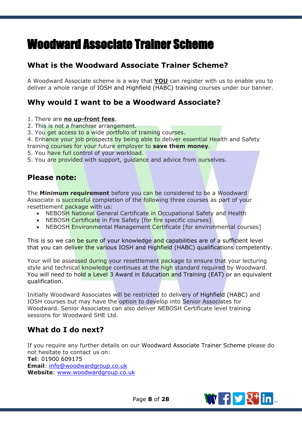# <span id="page-8-0"></span>Woodward Associate Trainer Scheme

# **What is the Woodward Associate Trainer Scheme?**

A Woodward Associate scheme is a way that **YOU** can register with us to enable you to deliver a whole range of IOSH and Highfield (HABC) training courses under our banner.

## **Why would I want to be a Woodward Associate?**

- 1. There are **no up-front fees**.
- 2. This is not a franchise arrangement.
- 3. You get access to a wide portfolio of training courses.

4. Enhance your job prospects by being able to deliver essential Health and Safety training courses for your future employer to **save them money**.

- 5. You have full control of your workload.
- 5. You are provided with support, guidance and advice from ourselves.

## **Please note:**

The **Minimum requirement** before you can be considered to be a Woodward Associate is successful completion of the following three courses as part of your resettlement package with us:

- NEBOSH National General Certificate in Occupational Safety and Health
- NEBOSH Certificate in Fire Safety [for fire specific courses]
- NEBOSH Environmental Management Certificate [for environmental courses]

This is so we can be sure of your knowledge and capabilities are of a sufficient level that you can deliver the various IOSH and Highfield (HABC) qualifications competently.

Your will be assessed during your resettlement package to ensure that your lecturing style and technical knowledge continues at the high standard required by Woodward. You will need to hold a Level 3 Award in Education and Training (EAT) or an equivalent qualification.

Initially Woodward Associates will be restricted to delivery of Highfield (HABC) and IOSH courses but may have the option to develop into Senior Associates for Woodward. Senior Associates can also deliver NEBOSH Certificate level training sessions for Woodward SHE Ltd.

## **What do I do next?**

If you require any further details on our Woodward Associate Trainer Scheme please do not hesitate to contact us on: **Tel**: 01900 609175 **Email**: [info@woodwardgroup.co.uk](mailto:info@woodwardgroup.co.uk) **Website**: [www.woodwardgroup.co.uk](http://www.woodwardgroup.co.uk/)

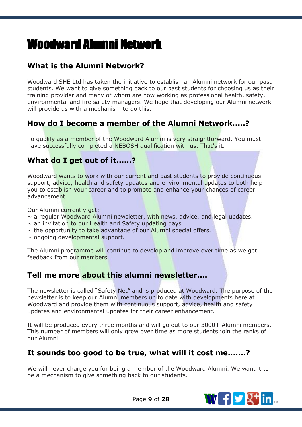# <span id="page-9-0"></span>Woodward Alumni Network

# **What is the Alumni Network?**

Woodward SHE Ltd has taken the initiative to establish an Alumni network for our past students. We want to give something back to our past students for choosing us as their training provider and many of whom are now working as professional health, safety, environmental and fire safety managers. We hope that developing our Alumni network will provide us with a mechanism to do this.

## **How do I become a member of the Alumni Network.....?**

To qualify as a member of the Woodward Alumni is very straightforward. You must have successfully completed a NEBOSH qualification with us. That's it.

## **What do I get out of it......?**

Woodward wants to work with our current and past students to provide continuous support, advice, health and safety updates and environmental updates to both help you to establish your career and to promote and enhance your chances of career advancement.

Our Alumni currently get:

- $\sim$  a regular Woodward Alumni newsletter, with news, advice, and legal updates.
- $\sim$  an invitation to our Health and Safety updating days.
- $\sim$  the opportunity to take advantage of our Alumni special offers.

 $\sim$  ongoing developmental support.

The Alumni programme will continue to develop and improve over time as we get feedback from our members.

## **Tell me more about this alumni newsletter....**

The newsletter is called "Safety Net" and is produced at Woodward. The purpose of the newsletter is to keep our Alumni members up to date with developments here at Woodward and provide them with continuous support, advice, health and safety updates and environmental updates for their career enhancement.

It will be produced every three months and will go out to our 3000+ Alumni members. This number of members will only grow over time as more students join the ranks of our Alumni.

## **It sounds too good to be true, what will it cost me.......?**

We will never charge you for being a member of the Woodward Alumni. We want it to be a mechanism to give something back to our students.

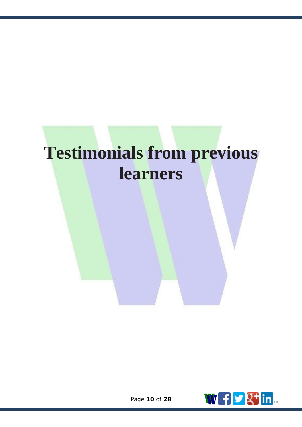# **Testimonials from previous learners**

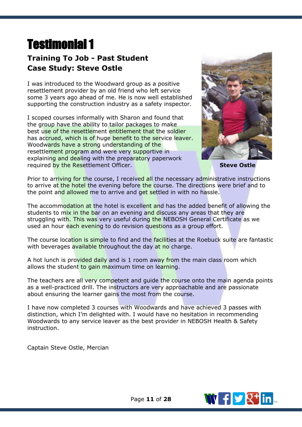# <span id="page-11-0"></span>Testimonial 1

# **Training To Job - Past Student Case Study: Steve Ostle**

I was introduced to the Woodward group as a positive resettlement provider by an old friend who left service some 3 years ago ahead of me. He is now well established supporting the construction industry as a safety inspector.

I scoped courses informally with Sharon and found that the group have the ability to tailor packages to make best use of the resettlement entitlement that the soldier has accrued, which is of huge benefit to the service leaver. Woodwards have a strong understanding of the resettlement program and were very supportive in explaining and dealing with the preparatory paperwork required by the Resettlement Officer. **Steve Ostle**



Prior to arriving for the course, I received all the necessary administrative instructions to arrive at the hotel the evening before the course. The directions were brief and to the point and allowed me to arrive and get settled in with no hassle.

The accommodation at the hotel is excellent and has the added benefit of allowing the students to mix in the bar on an evening and discuss any areas that they are struggling with. This was very useful during the NEBOSH General Certificate as we used an hour each evening to do revision questions as a group effort.

The course location is simple to find and the facilities at the Roebuck suite are fantastic with beverages available throughout the day at no charge.

A hot lunch is provided daily and is 1 room away from the main class room which allows the student to gain maximum time on learning.

The teachers are all very competent and quide the course onto the main agenda points as a well-practiced drill. The instructors are very approachable and are passionate about ensuring the learner gains the most from the course.

I have now completed 3 courses with Woodwards and have achieved 3 passes with distinction, which I'm delighted with. I would have no hesitation in recommending Woodwards to any service leaver as the best provider in NEBOSH Health & Safety instruction.

Captain Steve Ostle, Mercian

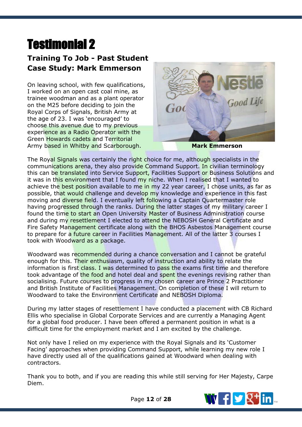# Testimonial 2

# **Training To Job - Past Student Case Study: Mark Emmerson**

On leaving school, with few qualifications, I worked on an open cast coal mine, as trainee woodman and as a plant operator on the M25 before deciding to join the Royal Corps of Signals, British Army at the age of 23. I was 'encouraged' to choose this avenue due to my previous experience as a Radio Operator with the Green Howards cadets and Territorial Army based in Whitby and Scarborough. **Mark Emmerson** 



The Royal Signals was certainly the right choice for me, although specialists in the communications arena, they also provide Command Support. In civilian terminology this can be translated into Service Support, Facilities Support or Business Solutions and it was in this environment that I found my niche. When I realised that I wanted to achieve the best position available to me in my 22 year career, I chose units, as far as possible, that would challenge and develop my knowledge and experience in this fast moving and diverse field. I eventually left following a Captain Quartermaster role having progressed through the ranks. During the latter stages of my military career I found the time to start an Open University Master of Business Administration course and during my resettlement I elected to attend the NEBOSH General Certificate and Fire Safety Management certificate along with the BHOS Asbestos Management course to prepare for a future career in Facilities Management. All of the latter 3 courses I took with Woodward as a package.

Woodward was recommended during a chance conversation and I cannot be grateful enough for this. Their enthusiasm, quality of instruction and ability to relate the information is first class. I was determined to pass the exams first time and therefore took advantage of the food and hotel deal and spent the evenings revising rather than socialising. Future courses to progress in my chosen career are Prince 2 Practitioner and British Institute of Facilities Management. On completion of these I will return to Woodward to take the Environment Certificate and NEBOSH Diploma.

During my latter stages of resettlement I have conducted a placement with CB Richard Ellis who specialise in Global Corporate Services and are currently a Managing Agent for a global food producer. I have been offered a permanent position in what is a difficult time for the employment market and I am excited by the challenge.

Not only have I relied on my experience with the Royal Signals and its 'Customer Facing' approaches when providing Command Support, while learning my new role I have directly used all of the qualifications gained at Woodward when dealing with contractors.

Thank you to both, and if you are reading this while still serving for Her Majesty, Carpe Diem.

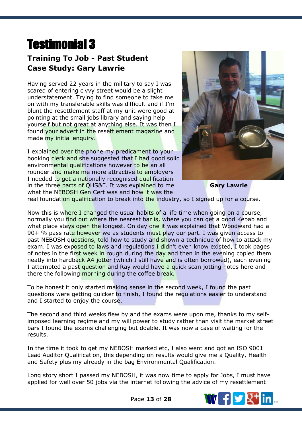# Testimonial 3

# **Training To Job - Past Student Case Study: Gary Lawrie**

Having served 22 years in the military to say I was scared of entering civvy street would be a slight understatement. Trying to find someone to take me on with my transferable skills was difficult and if I'm blunt the resettlement staff at my unit were good at pointing at the small jobs library and saying help yourself but not great at anything else. It was then I found your advert in the resettlement magazine and made my initial enquiry.

I explained over the phone my predicament to your booking clerk and she suggested that I had good solid environmental qualifications however to be an all rounder and make me more attractive to employers I needed to get a nationally recognised qualification in the three parts of QHS&E. It was explained to me what the NEBOSH Gen Cert was and how it was the



real foundation qualification to break into the industry, so I signed up for a course.

Now this is where I changed the usual habits of a life time when going on a course, normally you find out where the nearest bar is, where you can get a good Kebab and what place stays open the longest. On day one it was explained that Woodward had a 90+ % pass rate however we as students must play our part. I was given access to past NEBOSH questions, told how to study and shown a technique of how to attack my exam. I was exposed to laws and regulations I didn't even know existed, I took pages of notes in the first week in rough during the day and then in the evening copied them neatly into hardback A4 jotter (which I still have and is often borrowed), each evening I attempted a past question and Ray would have a quick scan jotting notes here and there the following morning during the coffee break.

To be honest it only started making sense in the second week, I found the past questions were getting quicker to finish, I found the regulations easier to understand and I started to enjoy the course.

The second and third weeks flew by and the exams were upon me, thanks to my selfimposed learning regime and my will power to study rather than visit the market street bars I found the exams challenging but doable. It was now a case of waiting for the results.

In the time it took to get my NEBOSH marked etc, I also went and got an ISO 9001 Lead Auditor Qualification, this depending on results would give me a Quality, Health and Safety plus my already in the bag Environmental Qualification.

Long story short I passed my NEBOSH, it was now time to apply for Jobs, I must have applied for well over 50 jobs via the internet following the advice of my resettlement

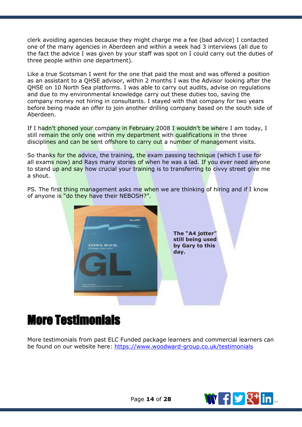clerk avoiding agencies because they might charge me a fee (bad advice) I contacted one of the many agencies in Aberdeen and within a week had 3 interviews (all due to the fact the advice I was given by your staff was spot on I could carry out the duties of three people within one department).

Like a true Scotsman I went for the one that paid the most and was offered a position as an assistant to a QHSE advisor, within 2 months I was the Advisor looking after the QHSE on 10 North Sea platforms. I was able to carry out audits, advise on regulations and due to my environmental knowledge carry out these duties too, saving the company money not hiring in consultants. I stayed with that company for two years before being made an offer to join another drilling company based on the south side of Aberdeen.

If I hadn't phoned your company in February 2008 I wouldn't be where I am today, I still remain the only one within my department with qualifications in the three disciplines and can be sent offshore to carry out a number of management visits.

So thanks for the advice, the training, the exam passing technique (which I use for all exams now) and Rays many stories of when he was a lad. If you ever need anyone to stand up and say how crucial your training is to transferring to civvy street give me a shout.

PS. The first thing management asks me when we are thinking of hiring and if I know of anyone is "do they have their NEBOSH?".



**The "A4 jotter" still being used by Gary to this**

# More Testimonials

More testimonials from past ELC Funded package learners and commercial learners can be found on our website here:<https://www.woodward-group.co.uk/testimonials>

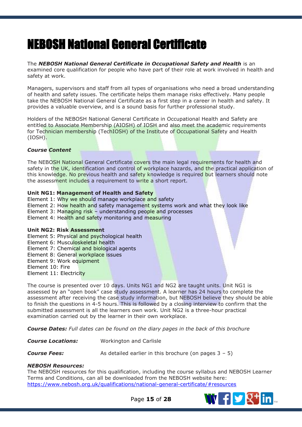# <span id="page-15-0"></span>NEBOSH National General Certificate

The **NEBOSH National General Certificate in Occupational Safety and Health** is an examined core qualification for people who have part of their role at work involved in health and safety at work.

Managers, supervisors and staff from all types of organisations who need a broad understanding of health and safety issues. The certificate helps them manage risks effectively. Many people take the NEBOSH National General Certificate as a first step in a career in health and safety. It provides a valuable overview, and is a sound basis for further professional study.

Holders of the NEBOSH National General Certificate in Occupational Health and Safety are entitled to Associate Membership (AIOSH) of IOSH and also meet the academic requirements for Technician membership (TechIOSH) of the Institute of Occupational Safety and Health (IOSH).

#### *Course Content*

The NEBOSH National General Certificate covers the main legal requirements for health and safety in the UK, identification and control of workplace hazards, and the practical application of this knowledge. No previous health and safety knowledge is required but learners should note the assessment includes a requirement to write a short report.

#### **Unit NG1: Management of Health and Safety**

Element 1: Why we should manage workplace and safety

- Element 2: How health and safety management systems work and what they look like
- Element 3: Managing risk understanding people and processes
- Element 4: Health and safety monitoring and measuring

#### **Unit NG2: Risk Assessment**

- Element 5: Physical and psychological health
- Element 6: Musculoskeletal health
- Element 7: Chemical and biological agents
- Element 8: General workplace issues
- Element 9: Work equipment
- Element 10: Fire
- Element 11: Electricity

The course is presented over 10 days. Units NG1 and NG2 are taught units. Unit NG1 is assessed by an "open book" case study assessment. A learner has 24 hours to complete the assessment after receiving the case study information, but NEBOSH believe they should be able to finish the questions in 4-5 hours. This is followed by a closing interview to confirm that the submitted assessment is all the learners own work. Unit NG2 is a three-hour practical examination carried out by the learner in their own workplace.

*Course Dates: Full dates can be found on the diary pages in the back of this brochure*

*Course Locations:* Workington and Carlisle

*Course Fees:* As detailed earlier in this brochure (on pages 3 – 5)

#### *NEBOSH Resources:*

The NEBOSH resources for this qualification, including the course syllabus and NEBOSH Learner Terms and Conditions, can all be downloaded from the NEBOSH website here: <https://www.nebosh.org.uk/qualifications/national-general-certificate/#resources>



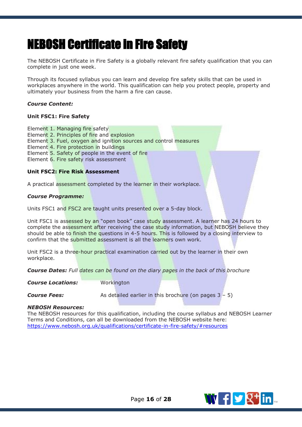# <span id="page-16-0"></span>NEBOSH Certificate in Fire Safety

The NEBOSH Certificate in Fire Safety is a globally relevant fire safety qualification that you can complete in just one week.

Through its focused syllabus you can learn and develop fire safety skills that can be used in workplaces anywhere in the world. This qualification can help you protect people, property and ultimately your business from the harm a fire can cause.

#### *Course Content:*

#### **Unit FSC1: Fire Safety**

Element 1. Managing fire safety Element 2. Principles of fire and explosion Element 3. Fuel, oxygen and ignition sources and control measures Element 4. Fire protection in buildings Element 5. Safety of people in the event of fire Element 6. Fire safety risk assessment

#### **Unit FSC2: Fire Risk Assessment**

A practical assessment completed by the learner in their workplace.

#### *Course Programme:*

Units FSC1 and FSC2 are taught units presented over a 5-day block.

Unit FSC1 is assessed by an "open book" case study assessment. A learner has 24 hours to complete the assessment after receiving the case study information, but NEBOSH believe they should be able to finish the questions in 4-5 hours. This is followed by a closing interview to confirm that the submitted assessment is all the learners own work.

Unit FSC2 is a three-hour practical examination carried out by the learner in their own workplace.

*Course Dates: Full dates can be found on the diary pages in the back of this brochure*

**Course Locations:** Workington

**Course Fees:** As detailed earlier in this brochure (on pages 3 – 5)

#### *NEBOSH Resources:*

The NEBOSH resources for this qualification, including the course syllabus and NEBOSH Learner Terms and Conditions, can all be downloaded from the NEBOSH website here: <https://www.nebosh.org.uk/qualifications/certificate-in-fire-safety/#resources>

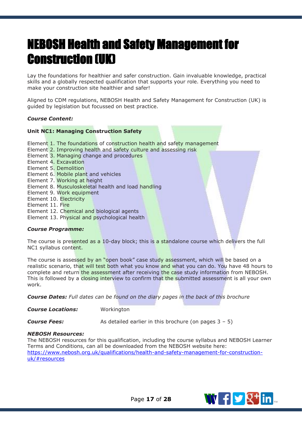# <span id="page-17-0"></span>NEBOSH Health and Safety Management for Construction (UK)

Lay the foundations for healthier and safer construction. Gain invaluable knowledge, practical skills and a globally respected qualification that supports your role. Everything you need to make your construction site healthier and safer!

Aligned to CDM regulations, NEBOSH Health and Safety Management for Construction (UK) is guided by legislation but focussed on best practice.

#### *Course Content:*

#### **Unit NC1: Managing Construction Safety**

- Element 1. The foundations of construction health and safety management
- Element 2. Improving health and safety culture and assessing risk
- Element 3. Managing change and procedures
- Element 4. Excavation
- Element 5. Demolition
- Element 6. Mobile plant and vehicles
- Element 7. Working at height
- Element 8. Musculoskeletal health and load handling
- Element 9. Work equipment
- Element 10. Electricity
- Element 11. Fire
- Element 12. Chemical and biological agents
- Element 13. Physical and psychological health

#### *Course Programme:*

The course is presented as a 10-day block; this is a standalone course which delivers the full NC1 syllabus content.

The course is assessed by an "open book" case study assessment, which will be based on a realistic scenario, that will test both what you know and what you can do. You have 48 hours to complete and return the assessment after receiving the case study information from NEBOSH. This is followed by a closing interview to confirm that the submitted assessment is all your own work.

*Course Dates: Full dates can be found on the diary pages in the back of this brochure*

*Course Locations:* Workington

**Course Fees:** As detailed earlier in this brochure (on pages 3 – 5)

#### *NEBOSH Resources:*

The NEBOSH resources for this qualification, including the course syllabus and NEBOSH Learner Terms and Conditions, can all be downloaded from the NEBOSH website here: [https://www.nebosh.org.uk/qualifications/health-and-safety-management-for-construction](https://www.nebosh.org.uk/qualifications/health-and-safety-management-for-construction-uk/#resources)[uk/#resources](https://www.nebosh.org.uk/qualifications/health-and-safety-management-for-construction-uk/#resources)

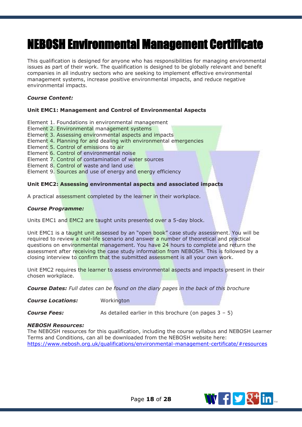# <span id="page-18-0"></span>NEBOSH Environmental Management Certificate

This qualification is designed for anyone who has responsibilities for managing environmental issues as part of their work. The qualification is designed to be globally relevant and benefit companies in all industry sectors who are seeking to implement effective environmental management systems, increase positive environmental impacts, and reduce negative environmental impacts.

#### *Course Content:*

#### **Unit EMC1: Management and Control of Environmental Aspects**

- Element 1. Foundations in environmental management
- Element 2. Environmental management systems
- Element 3. Assessing environmental aspects and impacts
- Element 4. Planning for and dealing with environmental emergencies
- Element 5. Control of emissions to air
- Element 6. Control of environmental noise
- Element 7. Control of contamination of water sources
- Element 8. Control of waste and land use
- Element 9. Sources and use of energy and energy efficiency

#### **Unit EMC2: Assessing environmental aspects and associated impacts**

A practical assessment completed by the learner in their workplace.

#### *Course Programme:*

Units EMC1 and EMC2 are taught units presented over a 5-day block.

Unit EMC1 is a taught unit assessed by an "open book" case study assessment. You will be required to review a real-life scenario and answer a number of theoretical and practical questions on environmental management. You have 24 hours to complete and return the assessment after receiving the case study information from NEBOSH. This is followed by a closing interview to confirm that the submitted assessment is all your own work.

Unit EMC2 requires the learner to assess environmental aspects and impacts present in their chosen workplace.

*Course Dates: Full dates can be found on the diary pages in the back of this brochure*

**Course Locations:** Workington

**Course Fees:** As detailed earlier in this brochure (on pages 3 – 5)

#### *NEBOSH Resources:*

The NEBOSH resources for this qualification, including the course syllabus and NEBOSH Learner Terms and Conditions, can all be downloaded from the NEBOSH website here: <https://www.nebosh.org.uk/qualifications/environmental-management-certificate/#resources>

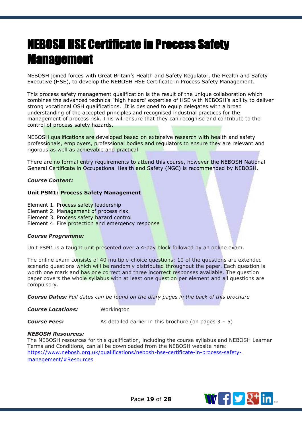# <span id="page-19-0"></span>NEBOSH HSE Certificate in Process Safety Management

NEBOSH joined forces with Great Britain's Health and Safety Regulator, the Health and Safety Executive (HSE), to develop the NEBOSH HSE Certificate in Process Safety Management.

This process safety management qualification is the result of the unique collaboration which combines the advanced technical 'high hazard' expertise of HSE with NEBOSH's ability to deliver strong vocational OSH qualifications. It is designed to equip delegates with a broad understanding of the accepted principles and recognised industrial practices for the management of process risk. This will ensure that they can recognise and contribute to the control of process safety hazards.

NEBOSH qualifications are developed based on extensive research with health and safety professionals, employers, professional bodies and regulators to ensure they are relevant and rigorous as well as achievable and practical.

There are no formal entry requirements to attend this course, however the NEBOSH National General Certificate in Occupational Health and Safety (NGC) is recommended by NEBOSH.

#### *Course Content:*

#### **Unit PSM1: Process Safety Management**

Element 1. Process safety leadership

Element 2. Management of process risk

Element 3. Process safety hazard control

Element 4. Fire protection and emergency response

#### *Course Programme:*

Unit PSM1 is a taught unit presented over a 4-day block followed by an online exam.

The online exam consists of 40 multiple-choice questions; 10 of the questions are extended scenario questions which will be randomly distributed throughout the paper. Each question is worth one mark and has one correct and three incorrect responses available. The question paper covers the whole syllabus with at least one question per element and all questions are compulsory.

*Course Dates: Full dates can be found on the diary pages in the back of this brochure*

**Course Locations:** Workington

**Course Fees:** As detailed earlier in this brochure (on pages 3 – 5)

#### *NEBOSH Resources:*

The NEBOSH resources for this qualification, including the course syllabus and NEBOSH Learner Terms and Conditions, can all be downloaded from the NEBOSH website here: [https://www.nebosh.org.uk/qualifications/nebosh-hse-certificate-in-process-safety](https://www.nebosh.org.uk/qualifications/nebosh-hse-certificate-in-process-safety-management/#Resources)[management/#Resources](https://www.nebosh.org.uk/qualifications/nebosh-hse-certificate-in-process-safety-management/#Resources) 



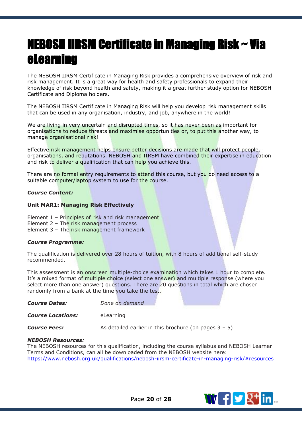# <span id="page-20-0"></span>NEBOSH IIRSM Certificate in Managing Risk ~ Via eLearning

The NEBOSH IIRSM Certificate in Managing Risk provides a comprehensive overview of risk and risk management. It is a great way for health and safety professionals to expand their knowledge of risk beyond health and safety, making it a great further study option for NEBOSH Certificate and Diploma holders.

The NEBOSH IIRSM Certificate in Managing Risk will help you develop risk management skills that can be used in any organisation, industry, and job, anywhere in the world!

We are living in very uncertain and disrupted times, so it has never been as important for organisations to reduce threats and maximise opportunities or, to put this another way, to manage organisational risk!

Effective risk management helps ensure better decisions are made that will protect people, organisations, and reputations. NEBOSH and IIRSM have combined their expertise in education and risk to deliver a qualification that can help you achieve this.

There are no formal entry requirements to attend this course, but you do need access to a suitable computer/laptop system to use for the course.

#### *Course Content:*

#### **Unit MAR1: Managing Risk Effectively**

Element 1 – Principles of risk and risk management

- Element 2 The risk management process
- Element 3 The risk management framework

#### *Course Programme:*

The qualification is delivered over 28 hours of tuition, with 8 hours of additional self-study recommended.

This assessment is an onscreen multiple-choice examination which takes 1 hour to complete. It's a mixed format of multiple choice (select one answer) and multiple response (where you select more than one answer) questions. There are 20 questions in total which are chosen randomly from a bank at the time you take the test.

*Course Dates: Done on demand*

*Course Locations:* eLearning

**Course Fees:** As detailed earlier in this brochure (on pages 3 – 5)

#### *NEBOSH Resources:*

The NEBOSH resources for this qualification, including the course syllabus and NEBOSH Learner Terms and Conditions, can all be downloaded from the NEBOSH website here: <https://www.nebosh.org.uk/qualifications/nebosh-iirsm-certificate-in-managing-risk/#resources>



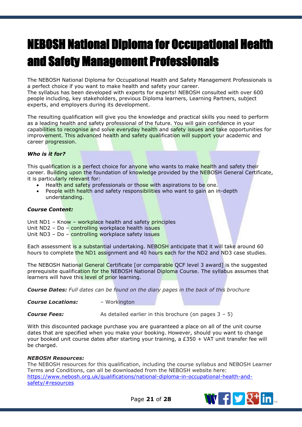# <span id="page-21-0"></span>NEBOSH National Diploma for Occupational Health and Safety Management Professionals

The NEBOSH National Diploma for Occupational Health and Safety Management Professionals is a perfect choice if you want to make health and safety your career.

The syllabus has been developed with experts for experts! NEBOSH consulted with over 600 people including, key stakeholders, previous Diploma learners, Learning Partners, subject experts, and employers during its development.

The resulting qualification will give you the knowledge and practical skills you need to perform as a leading health and safety professional of the future. You will gain confidence in your capabilities to recognise and solve everyday health and safety issues and take opportunities for improvement. This advanced health and safety qualification will support your academic and career progression.

#### *Who is it for?*

This qualification is a perfect choice for anyone who wants to make health and safety their career. Building upon the foundation of knowledge provided by the NEBOSH General Certificate, it is particularly relevant for:

- Health and safety professionals or those with aspirations to be one.
- People with health and safety responsibilities who want to gain an in-depth understanding.

#### *Course Content:*

Unit ND1 – Know – workplace health and safety principles

Unit ND2 – Do – controlling workplace health issues

Unit ND3 – Do – controlling workplace safety issues

Each assessment is a substantial undertaking. NEBOSH anticipate that it will take around 60 hours to complete the ND1 assignment and 40 hours each for the ND2 and ND3 case studies.

The NEBOSH National General Certificate [or comparable QCF level 3 award] is the suggested prerequisite qualification for the NEBOSH National Diploma Course. The syllabus assumes that learners will have this level of prior learning.

*Course Dates: Full dates can be found on the diary pages in the back of this brochure*

*Course Locations:* – Workington

**Course Fees:** As detailed earlier in this brochure (on pages 3 – 5)

With this discounted package purchase you are guaranteed a place on all of the unit course dates that are specified when you make your booking. However, should you want to change your booked unit course dates after starting your training, a £350 + VAT unit transfer fee will be charged.

#### *NEBOSH Resources:*

The NEBOSH resources for this qualification, including the course syllabus and NEBOSH Learner Terms and Conditions, can all be downloaded from the NEBOSH website here: [https://www.nebosh.org.uk/qualifications/national-diploma-in-occupational-health-and](https://www.nebosh.org.uk/qualifications/national-diploma-in-occupational-health-and-safety/#resources)[safety/#resources](https://www.nebosh.org.uk/qualifications/national-diploma-in-occupational-health-and-safety/#resources)



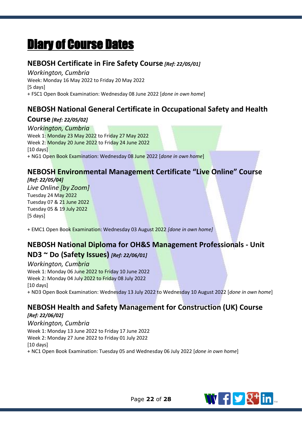# <span id="page-22-0"></span>Diary of Course Dates

## **NEBOSH Certificate in Fire Safety Course** *[Ref: 22/05/01]*

*Workington, Cumbria* Week: Monday 16 May 2022 to Friday 20 May 2022 [5 days] + FSC1 Open Book Examination: Wednesday 08 June 2022 [*done in own home*]

# **NEBOSH National General Certificate in Occupational Safety and Health**

## **Course** *[Ref: 22/05/02]*

*Workington, Cumbria* Week 1: Monday 23 May 2022 to Friday 27 May 2022 Week 2: Monday 20 June 2022 to Friday 24 June 2022 [10 days] + NG1 Open Book Examination: Wednesday 08 June 2022 [*done in own home*]

## **NEBOSH Environmental Management Certificate "Live Online" Course** *[Ref: 22/05/04]*

*Live Online [by Zoom]* Tuesday 24 May 2022 Tuesday 07 & 21 June 2022 Tuesday 05 & 19 July 2022 [5 days]

+ EMC1 Open Book Examination: Wednesday 03 August 2022 *[done in own home]*

# **NEBOSH National Diploma for OH&S Management Professionals - Unit**

## **ND3 ~ Do (Safety Issues)** *[Ref: 22/06/01]*

*Workington, Cumbria*  Week 1: Monday 06 June 2022 to Friday 10 June 2022 Week 2: Monday 04 July 2022 to Friday 08 July 2022 [10 days] + ND3 Open Book Examination: Wednesday 13 July 2022 to Wednesday 10 August 2022 [*done in own home*]

# **NEBOSH Health and Safety Management for Construction (UK) Course**

*[Ref: 22/06/02] Workington, Cumbria* Week 1: Monday 13 June 2022 to Friday 17 June 2022 Week 2: Monday 27 June 2022 to Friday 01 July 2022 [10 days] + NC1 Open Book Examination: Tuesday 05 and Wednesday 06 July 2022 [*done in own home*]

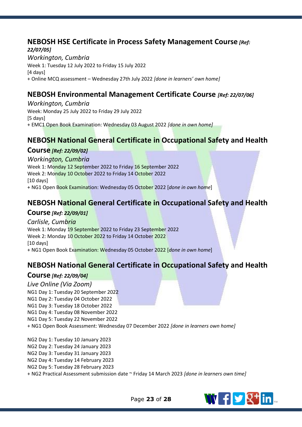## **NEBOSH HSE Certificate in Process Safety Management Course** *[Ref:*

*22/07/05] Workington, Cumbria* Week 1: Tuesday 12 July 2022 to Friday 15 July 2022 [4 days] + Online MCQ assessment – Wednesday 27th July 2022 *[done in learners' own home]*

## **NEBOSH Environmental Management Certificate Course** *[Ref: 22/07/06]*

*Workington, Cumbria* Week: Monday 25 July 2022 to Friday 29 July 2022 [5 days] + EMC1 Open Book Examination: Wednesday 03 August 2022 *[done in own home]*

## **NEBOSH National General Certificate in Occupational Safety and Health**

### **Course** *[Ref: 22/09/02]*

*Workington, Cumbria* Week 1: Monday 12 September 2022 to Friday 16 September 2022 Week 2: Monday 10 October 2022 to Friday 14 October 2022 [10 days] + NG1 Open Book Examination: Wednesday 05 October 2022 [*done in own home*]

## **NEBOSH National General Certificate in Occupational Safety and Health**

### **Course** *[Ref: 22/09/01]*

*Carlisle, Cumbria* Week 1: Monday 19 September 2022 to Friday 23 September 2022 Week 2: Monday 10 October 2022 to Friday 14 October 2022 [10 days] + NG1 Open Book Examination: Wednesday 05 October 2022 [*done in own home*]

## **NEBOSH National General Certificate in Occupational Safety and Health**

### **Course** *[Ref: 22/09/04]*

*Live Online (Via Zoom)* NG1 Day 1: Tuesday 20 September 2022 NG1 Day 2: Tuesday 04 October 2022 NG1 Day 3: Tuesday 18 October 2022 NG1 Day 4: Tuesday 08 November 2022 NG1 Day 5: Tuesday 22 November 2022 + NG1 Open Book Assessment: Wednesday 07 December 2022 *[done in learners own home]*

NG2 Day 1: Tuesday 10 January 2023 NG2 Day 2: Tuesday 24 January 2023 NG2 Day 3: Tuesday 31 January 2023 NG2 Day 4: Tuesday 14 February 2023 NG2 Day 5: Tuesday 28 February 2023 + NG2 Practical Assessment submission date ~ Friday 14 March 2023 *[done in learners own time]*

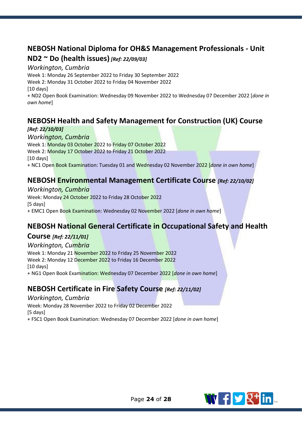## **NEBOSH National Diploma for OH&S Management Professionals - Unit**

## **ND2 ~ Do (health issues)** *[Ref: 22/09/03]*

### *Workington, Cumbria*

Week 1: Monday 26 September 2022 to Friday 30 September 2022

Week 2: Monday 31 October 2022 to Friday 04 November 2022

[10 days]

+ ND2 Open Book Examination: Wednesday 09 November 2022 to Wednesday 07 December 2022 [*done in own home*]

## **NEBOSH Health and Safety Management for Construction (UK) Course**

### *[Ref: 22/10/03]*

## *Workington, Cumbria*

Week 1: Monday 03 October 2022 to Friday 07 October 2022 Week 2: Monday 17 October 2022 to Friday 21 October 2022 [10 days] + NC1 Open Book Examination: Tuesday 01 and Wednesday 02 November 2022 [*done in own home*]

## **NEBOSH Environmental Management Certificate Course** *[Ref: 22/10/02]*

### *Workington, Cumbria*

Week: Monday 24 October 2022 to Friday 28 October 2022 [5 days] + EMC1 Open Book Examination: Wednesday 02 November 2022 [*done in own home*]

## **NEBOSH National General Certificate in Occupational Safety and Health**

## **Course** *[Ref: 22/11/01]*

### *Workington, Cumbria*

Week 1: Monday 21 November 2022 to Friday 25 November 2022 Week 2: Monday 12 December 2022 to Friday 16 December 2022 [10 days] + NG1 Open Book Examination: Wednesday 07 December 2022 [*done in own home*]

## **NEBOSH Certificate in Fire Safety Course** *[Ref: 22/11/02]*

### *Workington, Cumbria*

Week: Monday 28 November 2022 to Friday 02 December 2022 [5 days]

+ FSC1 Open Book Examination: Wednesday 07 December 2022 [*done in own home*]

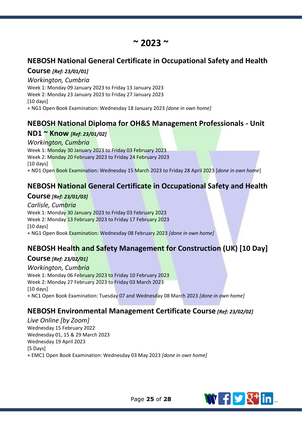# **~ 2023 ~**

## **NEBOSH National General Certificate in Occupational Safety and Health**

## **Course** *[Ref: 23/01/01]*

### *Workington, Cumbria*

Week 1: Monday 09 January 2023 to Friday 13 January 2023

Week 2: Monday 23 January 2023 to Friday 27 January 2023

[10 days]

+ NG1 Open Book Examination: Wednesday 18 January 2023 *[done in own home]*

## **NEBOSH National Diploma for OH&S Management Professionals - Unit**

## **ND1 ~ Know** *[Ref: 23/01/02]*

### *Workington, Cumbria*

Week 1: Monday 30 January 2023 to Friday 03 February 2023 Week 2: Monday 20 February 2023 to Friday 24 February 2023 [10 days]

+ ND1 Open Book Examination: Wednesday 15 March 2023 to Friday 28 April 2023 [*done in own home*]

## **NEBOSH National General Certificate in Occupational Safety and Health**

## **Course** *[Ref: 23/01/03]*

*Carlisle, Cumbria* Week 1: Monday 30 January 2023 to Friday 03 February 2023 Week 2: Monday 13 February 2023 to Friday 17 February 2023 [10 days] + NG1 Open Book Examination: Wednesday 08 February 2023 *[done in own home]*

# **NEBOSH Health and Safety Management for Construction (UK) [10 Day]**

## **Course** *[Ref: 23/02/01]*

*Workington, Cumbria* Week 1: Monday 06 February 2023 to Friday 10 February 2023 Week 2: Monday 27 February 2023 to Friday 03 March 2023 [10 days] + NC1 Open Book Examination: Tuesday 07 and Wednesday 08 March 2023 *[done in own home]*

## **NEBOSH Environmental Management Certificate Course** *[Ref: 23/02/02]*

*Live Online [by Zoom]* Wednesday 15 February 2022 Wednesday 01, 15 & 29 March 2023 Wednesday 19 April 2023 [5 Days] + EMC1 Open Book Examination: Wednesday 03 May 2023 *[done in own home]*

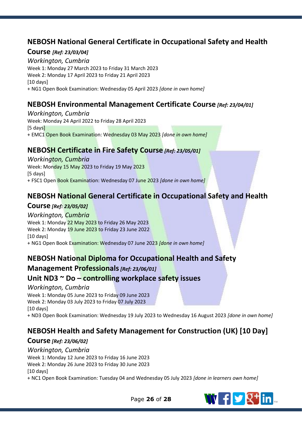## **NEBOSH National General Certificate in Occupational Safety and Health**

### **Course** *[Ref: 23/03/04]*

*Workington, Cumbria* Week 1: Monday 27 March 2023 to Friday 31 March 2023 Week 2: Monday 17 April 2023 to Friday 21 April 2023 [10 days] + NG1 Open Book Examination: Wednesday 05 April 2023 *[done in own home]*

## **NEBOSH Environmental Management Certificate Course** *[Ref: 23/04/01]*

*Workington, Cumbria* Week: Monday 24 April 2022 to Friday 28 April 2023 [5 days] + EMC1 Open Book Examination: Wednesday 03 May 2023 *[done in own home]*

## **NEBOSH Certificate in Fire Safety Course** *[Ref: 23/05/01]*

*Workington, Cumbria* Week: Monday 15 May 2023 to Friday 19 May 2023 [5 days] + FSC1 Open Book Examination: Wednesday 07 June 2023 *[done in own home]*

## **NEBOSH National General Certificate in Occupational Safety and Health**

## **Course** *[Ref: 23/05/02]*

### *Workington, Cumbria*

Week 1: Monday 22 May 2023 to Friday 26 May 2023 Week 2: Monday 19 June 2023 to Friday 23 June 2022 [10 days] + NG1 Open Book Examination: Wednesday 07 June 2023 *[done in own home]*

## **NEBOSH National Diploma for Occupational Health and Safety**

## **Management Professionals***[Ref: 23/06/01]*

## **Unit ND3 ~ Do – controlling workplace safety issues**

### *Workington, Cumbria*

Week 1: Monday 05 June 2023 to Friday 09 June 2023 Week 2: Monday 03 July 2023 to Friday 07 July 2023 [10 days]

+ ND3 Open Book Examination: Wednesday 19 July 2023 to Wednesday 16 August 2023 *[done in own home]*

## **NEBOSH Health and Safety Management for Construction (UK) [10 Day]**

## **Course** *[Ref: 23/06/02]*

### *Workington, Cumbria* Week 1: Monday 12 June 2023 to Friday 16 June 2023 Week 2: Monday 26 June 2023 to Friday 30 June 2023 [10 days]

+ NC1 Open Book Examination: Tuesday 04 and Wednesday 05 July 2023 *[done in learners own home]*



Page **26** of **28**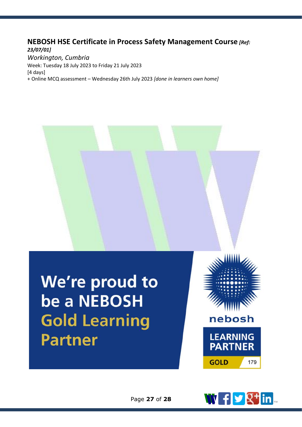## **NEBOSH HSE Certificate in Process Safety Management Course** *[Ref:*

*23/07/01] Workington, Cumbria* Week: Tuesday 18 July 2023 to Friday 21 July 2023 [4 days] + Online MCQ assessment – Wednesday 26th July 2023 *[done in learners own home]*



We're proud to be a NEBOSH **Gold Learning Partner**